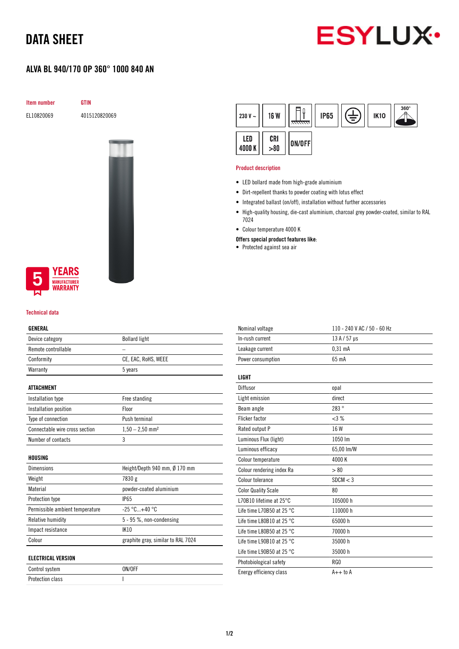# DATA SHEET

# **ESYLUX**

## ALVA BL 940/170 OP 360° 1000 840 AN

Item number GTIN

EL10820069 4015120820069



### **YEARS NUFACTURER** WARRANTY

#### Technical data

#### GENERAL

| ucnenal                         |                                    |  |
|---------------------------------|------------------------------------|--|
| Device category                 | <b>Bollard light</b>               |  |
| Remote controllable             |                                    |  |
| Conformity                      | CE, EAC, RoHS, WEEE                |  |
| Warranty                        | 5 years                            |  |
| <b>ATTACHMENT</b>               |                                    |  |
| Installation type               | Free standing                      |  |
| Installation position           | Floor                              |  |
| Type of connection              | Push terminal                      |  |
| Connectable wire cross section  | $1,50 - 2,50$ mm <sup>2</sup>      |  |
| Number of contacts              | 3                                  |  |
| HOUSING                         |                                    |  |
| Dimensions                      | Height/Depth 940 mm, Ø 170 mm      |  |
| Weight                          | 7830 g                             |  |
| Material                        | powder-coated aluminium            |  |
| <b>Protection type</b>          | <b>IP65</b>                        |  |
| Permissible ambient temperature | $-25 °C+40 °C$                     |  |
| Relative humidity               | $5 - 95$ %, non-condensing         |  |
| Impact resistance               | <b>IK10</b>                        |  |
| Colour                          | graphite gray, similar to RAL 7024 |  |
| <b>ELECTRICAL VERSION</b>       |                                    |  |
| Control system                  | ON/OFF                             |  |

Protection class and a set of the set of the set of the set of the set of the set of the set of the set of the

| 230 V $\sim$  | <b>16 W</b> | <del>anna</del> | <b>IP65</b> | ₹ | <b>IK10</b> | $360^\circ$ |
|---------------|-------------|-----------------|-------------|---|-------------|-------------|
| LED<br>4000 K | CRI<br>>80  | ON/OFF          |             |   |             |             |

#### Product description

- LED bollard made from high-grade aluminium
- Dirt-repellent thanks to powder coating with lotus effect
- Integrated ballast (on/off), installation without further accessories
- High-quality housing, die-cast aluminium, charcoal grey powder-coated, similar to RAL 7024
- Colour temperature 4000 K
- Offers special product features like:
- Protected against sea air

| Nominal voltage                     | 110 - 240 V AC / 50 - 60 Hz |
|-------------------------------------|-----------------------------|
| In-rush current                     | 13 A / 57 µs                |
| Leakage current                     | 0.31 <sub>m</sub> A         |
| Power consumption                   | 65 mA                       |
|                                     |                             |
| LIGHT                               |                             |
| Diffusor                            | opal                        |
| Light emission                      | direct                      |
| Beam angle                          | 283°                        |
| <b>Flicker factor</b>               | <3%                         |
| Rated output P                      | 16 W                        |
| Luminous Flux (light)               | 1050 lm                     |
| Luminous efficacy                   | 65,00 lm/W                  |
| Colour temperature                  | 4000K                       |
| Colour rendering index Ra           | > 80                        |
| Colour tolerance                    | SDCM < 3                    |
| <b>Color Quality Scale</b>          | 80                          |
| L70B10 lifetime at 25°C             | 105000h                     |
| Life time L70B50 at 25 $^{\circ}$ C | 110000 h                    |
| Life time L80B10 at 25 $^{\circ}$ C | 65000h                      |
| Life time L80B50 at 25 $^{\circ}$ C | 70000 h                     |
| Life time L90B10 at 25 $^{\circ}$ C | 35000 h                     |
| Life time L90B50 at 25 $^{\circ}$ C | 35000h                      |
| Photobiological safety              | RG0                         |
| Energy efficiency class             | $A++$ to $A$                |
|                                     |                             |